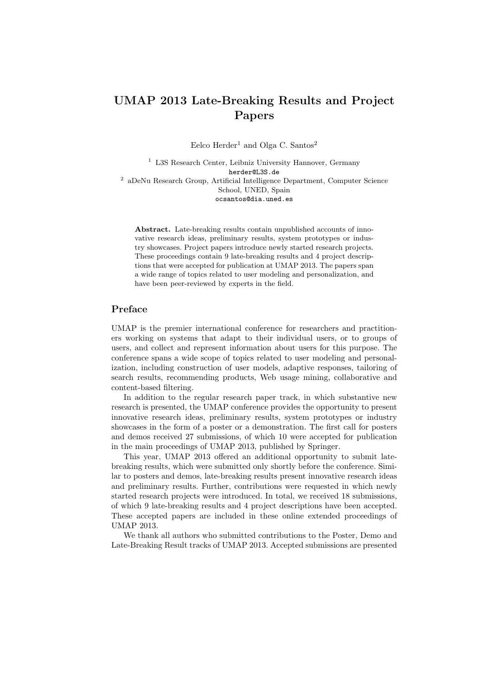## UMAP 2013 Late-Breaking Results and Project Papers

Eelco Herder<sup>1</sup> and Olga C. Santos<sup>2</sup>

<sup>1</sup> L3S Research Center, Leibniz University Hannover, Germany herder@L3S.de <sup>2</sup> aDeNu Research Group, Artificial Intelligence Department, Computer Science School, UNED, Spain ocsantos@dia.uned.es

Abstract. Late-breaking results contain unpublished accounts of innovative research ideas, preliminary results, system prototypes or industry showcases. Project papers introduce newly started research projects. These proceedings contain 9 late-breaking results and 4 project descriptions that were accepted for publication at UMAP 2013. The papers span a wide range of topics related to user modeling and personalization, and have been peer-reviewed by experts in the field.

## Preface

UMAP is the premier international conference for researchers and practitioners working on systems that adapt to their individual users, or to groups of users, and collect and represent information about users for this purpose. The conference spans a wide scope of topics related to user modeling and personalization, including construction of user models, adaptive responses, tailoring of search results, recommending products, Web usage mining, collaborative and content-based filtering.

In addition to the regular research paper track, in which substantive new research is presented, the UMAP conference provides the opportunity to present innovative research ideas, preliminary results, system prototypes or industry showcases in the form of a poster or a demonstration. The first call for posters and demos received 27 submissions, of which 10 were accepted for publication in the main proceedings of UMAP 2013, published by Springer.

This year, UMAP 2013 offered an additional opportunity to submit latebreaking results, which were submitted only shortly before the conference. Similar to posters and demos, late-breaking results present innovative research ideas and preliminary results. Further, contributions were requested in which newly started research projects were introduced. In total, we received 18 submissions, of which 9 late-breaking results and 4 project descriptions have been accepted. These accepted papers are included in these online extended proceedings of UMAP 2013.

We thank all authors who submitted contributions to the Poster, Demo and Late-Breaking Result tracks of UMAP 2013. Accepted submissions are presented